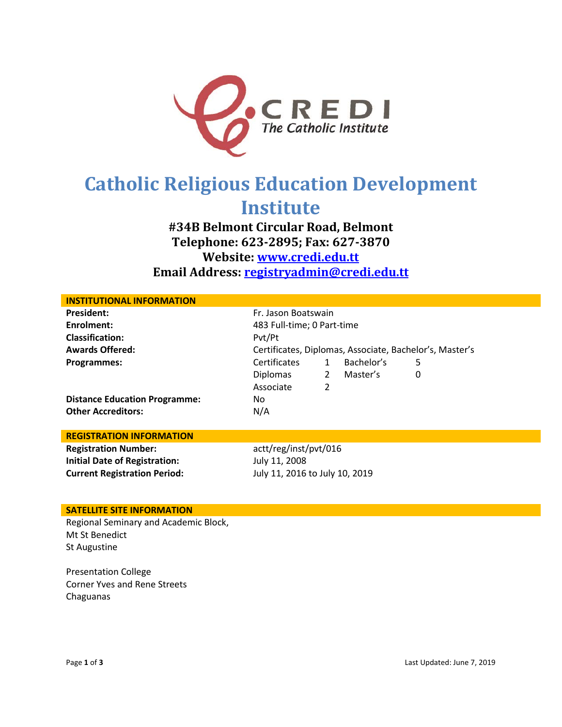

# **Catholic Religious Education Development Institute**

## **#34B Belmont Circular Road, Belmont Telephone: 623-2895; Fax: 627-3870 Website: [www.credi.edu.tt](http://www.credi.edu.tt/) Email Address: [registryadmin@credi.edu.tt](mailto:registryadmin@credi.edu.tt)**

| <b>INSTITUTIONAL INFORMATION</b>     |                                                         |              |            |   |  |
|--------------------------------------|---------------------------------------------------------|--------------|------------|---|--|
| <b>President:</b>                    | Fr. Jason Boatswain                                     |              |            |   |  |
| Enrolment:                           | 483 Full-time; 0 Part-time                              |              |            |   |  |
| <b>Classification:</b>               | Pvt/Pt                                                  |              |            |   |  |
| <b>Awards Offered:</b>               | Certificates, Diplomas, Associate, Bachelor's, Master's |              |            |   |  |
| Programmes:                          | <b>Certificates</b>                                     | $\mathbf{1}$ | Bachelor's | 5 |  |
|                                      | Diplomas                                                | $\mathbf{2}$ | Master's   | 0 |  |
|                                      | Associate                                               | 2            |            |   |  |
| <b>Distance Education Programme:</b> | No                                                      |              |            |   |  |
| <b>Other Accreditors:</b>            | N/A                                                     |              |            |   |  |
|                                      |                                                         |              |            |   |  |
| <b>REGISTRATION INFORMATION</b>      |                                                         |              |            |   |  |
| <b>Registration Number:</b>          | actt/reg/inst/pvt/016                                   |              |            |   |  |
| <b>Initial Date of Registration:</b> | July 11, 2008                                           |              |            |   |  |
| <b>Current Registration Period:</b>  | July 11, 2016 to July 10, 2019                          |              |            |   |  |
|                                      |                                                         |              |            |   |  |

### **SATELLITE SITE INFORMATION**

Regional Seminary and Academic Block, Mt St Benedict St Augustine

Presentation College Corner Yves and Rene Streets Chaguanas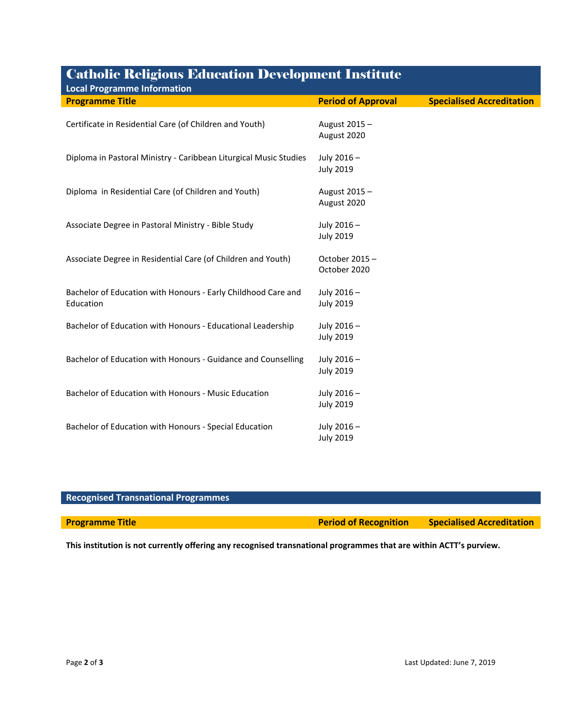| <b>Catholic Religious Education Developm<u>ent Institute</u></b>           |                                |                                  |  |  |  |  |
|----------------------------------------------------------------------------|--------------------------------|----------------------------------|--|--|--|--|
| <b>Local Programme Information</b>                                         |                                |                                  |  |  |  |  |
| <b>Programme Title</b>                                                     | <b>Period of Approval</b>      | <b>Specialised Accreditation</b> |  |  |  |  |
| Certificate in Residential Care (of Children and Youth)                    | August 2015 -<br>August 2020   |                                  |  |  |  |  |
| Diploma in Pastoral Ministry - Caribbean Liturgical Music Studies          | July 2016-<br><b>July 2019</b> |                                  |  |  |  |  |
| Diploma in Residential Care (of Children and Youth)                        | August 2015 -<br>August 2020   |                                  |  |  |  |  |
| Associate Degree in Pastoral Ministry - Bible Study                        | July 2016-<br><b>July 2019</b> |                                  |  |  |  |  |
| Associate Degree in Residential Care (of Children and Youth)               | October 2015 -<br>October 2020 |                                  |  |  |  |  |
| Bachelor of Education with Honours - Early Childhood Care and<br>Education | July 2016-<br><b>July 2019</b> |                                  |  |  |  |  |
| Bachelor of Education with Honours - Educational Leadership                | July 2016-<br><b>July 2019</b> |                                  |  |  |  |  |
| Bachelor of Education with Honours - Guidance and Counselling              | July 2016-<br><b>July 2019</b> |                                  |  |  |  |  |
| Bachelor of Education with Honours - Music Education                       | July 2016-<br><b>July 2019</b> |                                  |  |  |  |  |
| Bachelor of Education with Honours - Special Education                     | July 2016-<br><b>July 2019</b> |                                  |  |  |  |  |

## **Recognised Transnational Programmes Programme Title** *Programme Title Period of Recognition* **Specialised Accreditation**

**This institution is not currently offering any recognised transnational programmes that are within ACTT's purview.**